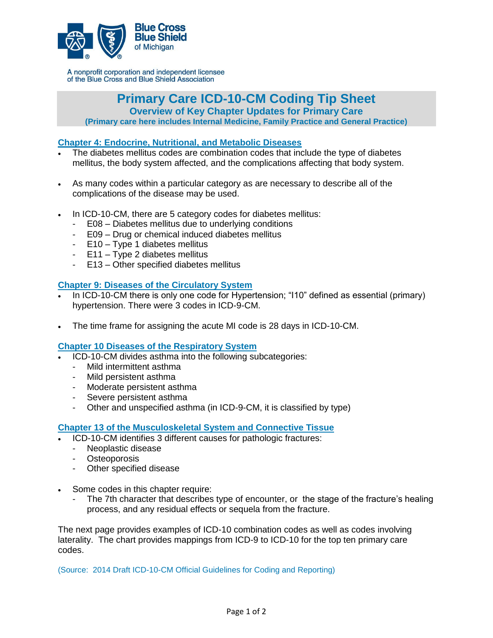

A nonprofit corporation and independent licensee of the Blue Cross and Blue Shield Association

**Primary Care ICD-10-CM Coding Tip Sheet**

**Overview of Key Chapter Updates for Primary Care** 

**(Primary care here includes Internal Medicine, Family Practice and General Practice)**

### **Chapter 4: Endocrine, Nutritional, and Metabolic Diseases**

- The diabetes mellitus codes are combination codes that include the type of diabetes mellitus, the body system affected, and the complications affecting that body system.
- As many codes within a particular category as are necessary to describe all of the complications of the disease may be used.
- In ICD-10-CM, there are 5 category codes for diabetes mellitus:
	- E08 Diabetes mellitus due to underlying conditions
	- E09 Drug or chemical induced diabetes mellitus
	- E10 Type 1 diabetes mellitus
	- E11 Type 2 diabetes mellitus
	- E13 Other specified diabetes mellitus

### **Chapter 9: Diseases of the Circulatory System**

- In ICD-10-CM there is only one code for Hypertension; "I10" defined as essential (primary) hypertension. There were 3 codes in ICD-9-CM.
- The time frame for assigning the acute MI code is 28 days in ICD-10-CM.

### **Chapter 10 Diseases of the Respiratory System**

- ICD-10-CM divides asthma into the following subcategories:
	- Mild intermittent asthma
	- Mild persistent asthma
	- Moderate persistent asthma
	- Severe persistent asthma
	- Other and unspecified asthma (in ICD-9-CM, it is classified by type)

## **Chapter 13 of the Musculoskeletal System and Connective Tissue**

- ICD-10-CM identifies 3 different causes for pathologic fractures:
	- Neoplastic disease
	- Osteoporosis
	- Other specified disease
- Some codes in this chapter require:
	- The 7th character that describes type of encounter, or the stage of the fracture's healing process, and any residual effects or sequela from the fracture.

The next page provides examples of ICD-10 combination codes as well as codes involving laterality. The chart provides mappings from ICD-9 to ICD-10 for the top ten primary care codes.

(Source: 2014 Draft ICD-10-CM Official Guidelines for Coding and Reporting)